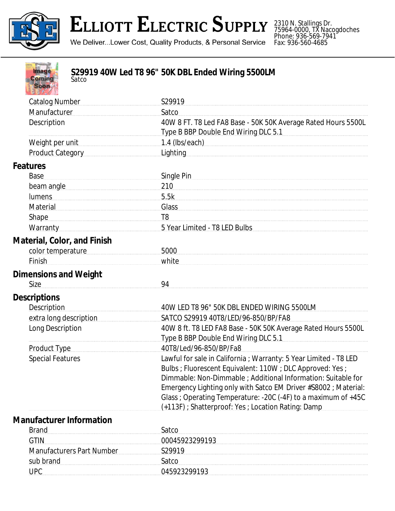

## **ELLIOTT ELECTRIC SUPPLY**

We Deliver...Lower Cost, Quality Products, & Personal Service

2310 N. Stallings Dr. 75964-0000, TX Nacogdoches Phone: 936-569-7941 Fax: 936-560-4685

| Image<br><b>Coming</b><br>Satco<br><b>Soon</b> | S29919 40W Led T8 96" 50K DBL Ended Wiring 5500LM                                                                                                                                                                                                                                                                                                                                            |
|------------------------------------------------|----------------------------------------------------------------------------------------------------------------------------------------------------------------------------------------------------------------------------------------------------------------------------------------------------------------------------------------------------------------------------------------------|
| <b>Catalog Number</b>                          | S29919                                                                                                                                                                                                                                                                                                                                                                                       |
| Manufacturer                                   | Satco                                                                                                                                                                                                                                                                                                                                                                                        |
| Description                                    | 40W 8 FT. T8 Led FA8 Base - 50K 50K Average Rated Hours 5500L<br>Type B BBP Double End Wiring DLC 5.1                                                                                                                                                                                                                                                                                        |
| Weight per unit                                |                                                                                                                                                                                                                                                                                                                                                                                              |
| Product Category                               | <b>Lighting</b>                                                                                                                                                                                                                                                                                                                                                                              |
| Features                                       |                                                                                                                                                                                                                                                                                                                                                                                              |
| Base                                           | Single Pin                                                                                                                                                                                                                                                                                                                                                                                   |
| beam angle                                     | 210                                                                                                                                                                                                                                                                                                                                                                                          |
| lumens                                         | 5.5k                                                                                                                                                                                                                                                                                                                                                                                         |
| Material                                       | <b>Glass</b>                                                                                                                                                                                                                                                                                                                                                                                 |
| <b>Shape</b>                                   | T <sub>8</sub>                                                                                                                                                                                                                                                                                                                                                                               |
| Warranty Market Market March 1999              | 5 Year Limited - T8 LED Bulbs <b>Server Allen Bulbs</b>                                                                                                                                                                                                                                                                                                                                      |
| Material, Color, and Finish                    |                                                                                                                                                                                                                                                                                                                                                                                              |
| color temperature                              | 5000                                                                                                                                                                                                                                                                                                                                                                                         |
| Finish                                         | white                                                                                                                                                                                                                                                                                                                                                                                        |
|                                                |                                                                                                                                                                                                                                                                                                                                                                                              |
| <b>Dimensions and Weight</b><br>Size           | 94                                                                                                                                                                                                                                                                                                                                                                                           |
| <b>Descriptions</b>                            |                                                                                                                                                                                                                                                                                                                                                                                              |
| Description                                    | 40W LED T8 96" 50K DBL ENDED WIRING 5500LM                                                                                                                                                                                                                                                                                                                                                   |
| extra long description                         | SATCO S29919 40T8/LED/96-850/BP/FA8                                                                                                                                                                                                                                                                                                                                                          |
| Long Description                               | 40W 8 ft. T8 LED FA8 Base - 50K 50K Average Rated Hours 5500L                                                                                                                                                                                                                                                                                                                                |
|                                                | Type B BBP Double End Wiring DLC 5.1                                                                                                                                                                                                                                                                                                                                                         |
| <b>Product Type</b>                            | 40T8/Led/96-850/BP/Fa8                                                                                                                                                                                                                                                                                                                                                                       |
| <b>Special Features</b>                        | Lawful for sale in California ; Warranty: 5 Year Limited - T8 LED<br>Bulbs ; Fluorescent Equivalent: 110W ; DLC Approved: Yes ;<br>Dimmable: Non-Dimmable ; Additional Information: Suitable for<br>Emergency Lighting only with Satco EM Driver #S8002 ; Material:<br>Glass ; Operating Temperature: -20C (-4F) to a maximum of +45C<br>(+113F) : Shatterproof: Yes : Location Rating: Damp |
| <b>Manufacturer Information</b>                |                                                                                                                                                                                                                                                                                                                                                                                              |
| <b>Brand</b>                                   | Satco                                                                                                                                                                                                                                                                                                                                                                                        |
| <b>GTIN</b>                                    | 00045923299193                                                                                                                                                                                                                                                                                                                                                                               |
| <b>Manufacturers Part Number</b>               | S29919                                                                                                                                                                                                                                                                                                                                                                                       |
| sub brand                                      | Satco                                                                                                                                                                                                                                                                                                                                                                                        |
| <b>UPC</b>                                     | 045923299193                                                                                                                                                                                                                                                                                                                                                                                 |